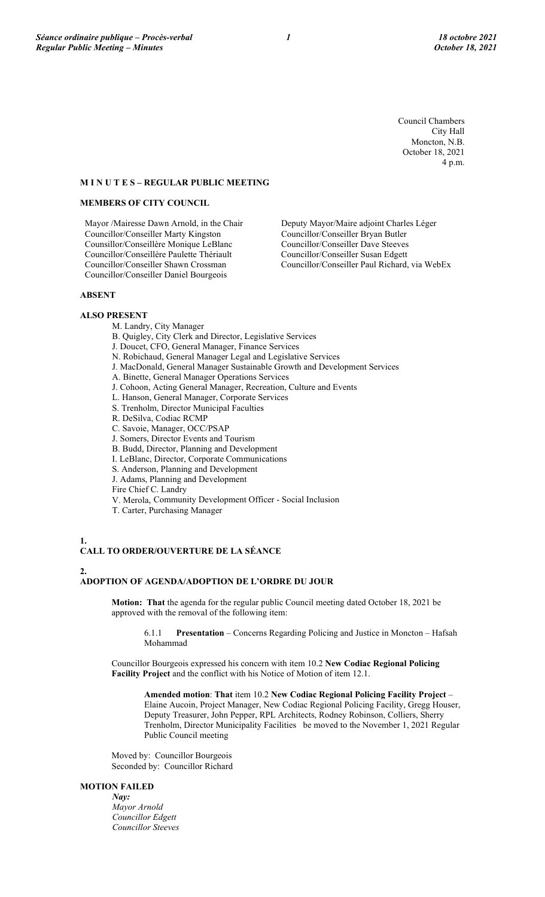Council Chambers City Hall Moncton, N.B. October 18, 2021 4 p.m.

## **M I N U T E S – REGULAR PUBLIC MEETING**

### **MEMBERS OF CITY COUNCIL**

Mayor /Mairesse Dawn Arnold, in the Chair Councillor/Conseiller Marty Kingston Counsillor/Conseillère Monique LeBlanc Councillor/Conseillère Paulette Thériault Councillor/Conseiller Shawn Crossman Councillor/Conseiller Daniel Bourgeois

Deputy Mayor/Maire adjoint Charles Léger Councillor/Conseiller Bryan Butler Councillor/Conseiller Dave Steeves Councillor/Conseiller Susan Edgett Councillor/Conseiller Paul Richard, via WebEx

#### **ABSENT**

## **ALSO PRESENT**

- M. Landry, City Manager
- B. Quigley, City Clerk and Director, Legislative Services
- J. Doucet, CFO, General Manager, Finance Services
- N. Robichaud, General Manager Legal and Legislative Services
- J. MacDonald, General Manager Sustainable Growth and Development Services
- A. Binette, General Manager Operations Services
- J. Cohoon, Acting General Manager, Recreation, Culture and Events
- L. Hanson, General Manager, Corporate Services
- S. Trenholm, Director Municipal Faculties
- R. DeSilva, Codiac RCMP
- C. Savoie, Manager, OCC/PSAP
- J. Somers, Director Events and Tourism
- B. Budd, Director, Planning and Development
- I. LeBlanc, Director, Corporate Communications
- S. Anderson, Planning and Development
- J. Adams, Planning and Development
- Fire Chief C. Landry
- V. Merola, Community Development Officer Social Inclusion
- T. Carter, Purchasing Manager

#### **1.**

## **CALL TO ORDER/OUVERTURE DE LA SÉANCE**

## **2.**

# **ADOPTION OF AGENDA/ADOPTION DE L'ORDRE DU JOUR**

**Motion: That** the agenda for the regular public Council meeting dated October 18, 2021 be approved with the removal of the following item:

6.1.1 **Presentation** – Concerns Regarding Policing and Justice in Moncton – Hafsah Mohammad

Councillor Bourgeois expressed his concern with item 10.2 **New Codiac Regional Policing Facility Project** and the conflict with his Notice of Motion of item 12.1.

**Amended motion**: **That** item 10.2 **New Codiac Regional Policing Facility Project** – Elaine Aucoin, Project Manager, New Codiac Regional Policing Facility, Gregg Houser, Deputy Treasurer, John Pepper, RPL Architects, Rodney Robinson, Colliers, Sherry Trenholm, Director Municipality Facilities be moved to the November 1, 2021 Regular Public Council meeting

Moved by: Councillor Bourgeois Seconded by: Councillor Richard

## **MOTION FAILED**

*Nay: Mayor Arnold Councillor Edgett Councillor Steeves*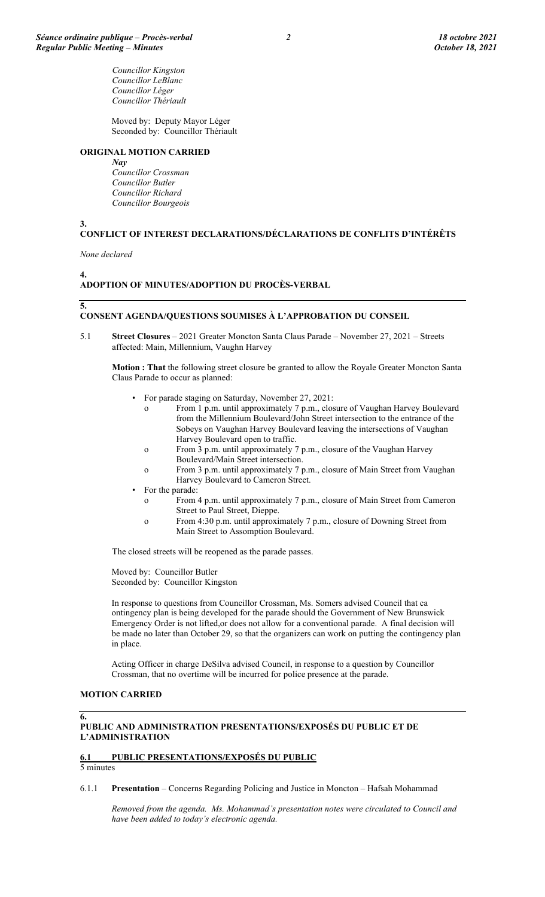*Councillor Kingston Councillor LeBlanc Councillor Léger Councillor Thériault*

Moved by: Deputy Mayor Léger Seconded by: Councillor Thériault

## **ORIGINAL MOTION CARRIED**

*Nay*

*Councillor Crossman Councillor Butler Councillor Richard Councillor Bourgeois*

**3.**

# **CONFLICT OF INTEREST DECLARATIONS/DÉCLARATIONS DE CONFLITS D'INTÉRÊTS**

*None declared*

**4.**

# **ADOPTION OF MINUTES/ADOPTION DU PROCÈS-VERBAL**

**5.**

## **CONSENT AGENDA/QUESTIONS SOUMISES À L'APPROBATION DU CONSEIL**

5.1 **Street Closures** – 2021 Greater Moncton Santa Claus Parade – November 27, 2021 – Streets affected: Main, Millennium, Vaughn Harvey

**Motion : That** the following street closure be granted to allow the Royale Greater Moncton Santa Claus Parade to occur as planned:

- For parade staging on Saturday, November 27, 2021:
	- o From 1 p.m. until approximately 7 p.m., closure of Vaughan Harvey Boulevard from the Millennium Boulevard/John Street intersection to the entrance of the Sobeys on Vaughan Harvey Boulevard leaving the intersections of Vaughan Harvey Boulevard open to traffic.
	- o From 3 p.m. until approximately 7 p.m., closure of the Vaughan Harvey Boulevard/Main Street intersection.
	- o From 3 p.m. until approximately 7 p.m., closure of Main Street from Vaughan Harvey Boulevard to Cameron Street.
- For the parade:
	- o From 4 p.m. until approximately 7 p.m., closure of Main Street from Cameron Street to Paul Street, Dieppe.
	- o From 4:30 p.m. until approximately 7 p.m., closure of Downing Street from Main Street to Assomption Boulevard.

The closed streets will be reopened as the parade passes.

Moved by: Councillor Butler Seconded by: Councillor Kingston

In response to questions from Councillor Crossman, Ms. Somers advised Council that ca ontingency plan is being developed for the parade should the Government of New Brunswick Emergency Order is not lifted,or does not allow for a conventional parade. A final decision will be made no later than October 29, so that the organizers can work on putting the contingency plan in place.

Acting Officer in charge DeSilva advised Council, in response to a question by Councillor Crossman, that no overtime will be incurred for police presence at the parade.

## **MOTION CARRIED**

**6.**

**PUBLIC AND ADMINISTRATION PRESENTATIONS/EXPOSÉS DU PUBLIC ET DE L'ADMINISTRATION**

## **6.1 PUBLIC PRESENTATIONS/EXPOSÉS DU PUBLIC**

5 minutes

6.1.1 **Presentation** – Concerns Regarding Policing and Justice in Moncton – Hafsah Mohammad

*Removed from the agenda. Ms. Mohammad's presentation notes were circulated to Council and have been added to today's electronic agenda.*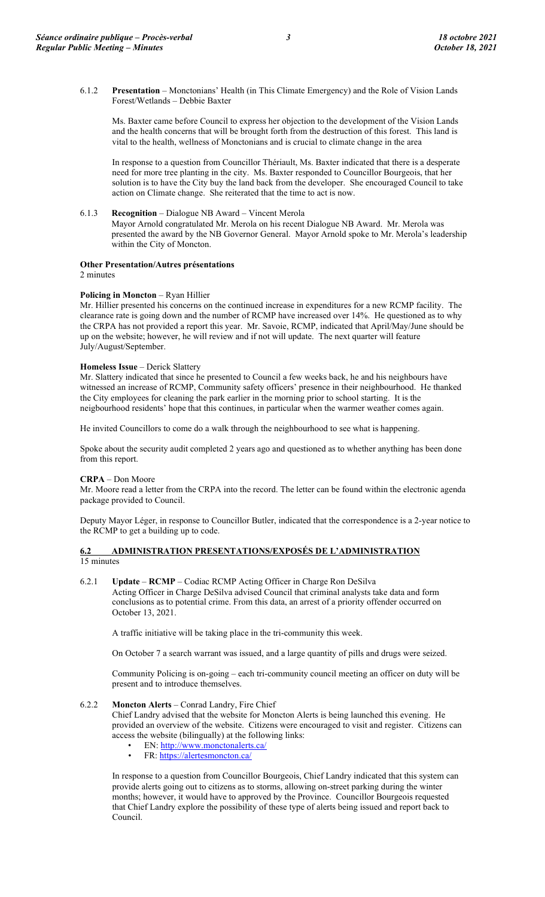6.1.2 **Presentation** – Monctonians' Health (in This Climate Emergency) and the Role of Vision Lands Forest/Wetlands – Debbie Baxter

Ms. Baxter came before Council to express her objection to the development of the Vision Lands and the health concerns that will be brought forth from the destruction of this forest. This land is vital to the health, wellness of Monctonians and is crucial to climate change in the area

In response to a question from Councillor Thériault, Ms. Baxter indicated that there is a desperate need for more tree planting in the city. Ms. Baxter responded to Councillor Bourgeois, that her solution is to have the City buy the land back from the developer. She encouraged Council to take action on Climate change. She reiterated that the time to act is now.

6.1.3 **Recognition** – Dialogue NB Award – Vincent Merola

Mayor Arnold congratulated Mr. Merola on his recent Dialogue NB Award. Mr. Merola was presented the award by the NB Governor General. Mayor Arnold spoke to Mr. Merola's leadership within the City of Moncton.

# **Other Presentation/Autres présentations**

2 minutes

## **Policing in Moncton** – Ryan Hillier

Mr. Hillier presented his concerns on the continued increase in expenditures for a new RCMP facility. The clearance rate is going down and the number of RCMP have increased over 14%. He questioned as to why the CRPA has not provided a report this year. Mr. Savoie, RCMP, indicated that April/May/June should be up on the website; however, he will review and if not will update. The next quarter will feature July/August/September.

## **Homeless Issue** – Derick Slattery

Mr. Slattery indicated that since he presented to Council a few weeks back, he and his neighbours have witnessed an increase of RCMP, Community safety officers' presence in their neighbourhood. He thanked the City employees for cleaning the park earlier in the morning prior to school starting. It is the neigbourhood residents' hope that this continues, in particular when the warmer weather comes again.

He invited Councillors to come do a walk through the neighbourhood to see what is happening.

Spoke about the security audit completed 2 years ago and questioned as to whether anything has been done from this report.

## **CRPA** – Don Moore

Mr. Moore read a letter from the CRPA into the record. The letter can be found within the electronic agenda package provided to Council.

Deputy Mayor Léger, in response to Councillor Butler, indicated that the correspondence is a 2-year notice to the RCMP to get a building up to code.

## **6.2 ADMINISTRATION PRESENTATIONS/EXPOSÉS DE L'ADMINISTRATION**  15 minutes

6.2.1 **Update** – **RCMP** – Codiac RCMP Acting Officer in Charge Ron DeSilva

Acting Officer in Charge DeSilva advised Council that criminal analysts take data and form conclusions as to potential crime. From this data, an arrest of a priority offender occurred on October 13, 2021.

A traffic initiative will be taking place in the tri-community this week.

On October 7 a search warrant was issued, and a large quantity of pills and drugs were seized.

Community Policing is on-going – each tri-community council meeting an officer on duty will be present and to introduce themselves.

## 6.2.2 **Moncton Alerts** – Conrad Landry, Fire Chief

Chief Landry advised that the website for Moncton Alerts is being launched this evening. He provided an overview of the website. Citizens were encouraged to visit and register. Citizens can access the website (bilingually) at the following links:

- EN:  $\frac{http://www.monctonalerts.ca/}{\text{FP}\cdot\text{https://alertesmoncton.ca/}}$
- FR:<https://alertesmoncton.ca/>

In response to a question from Councillor Bourgeois, Chief Landry indicated that this system can provide alerts going out to citizens as to storms, allowing on-street parking during the winter months; however, it would have to approved by the Province. Councillor Bourgeois requested that Chief Landry explore the possibility of these type of alerts being issued and report back to Council.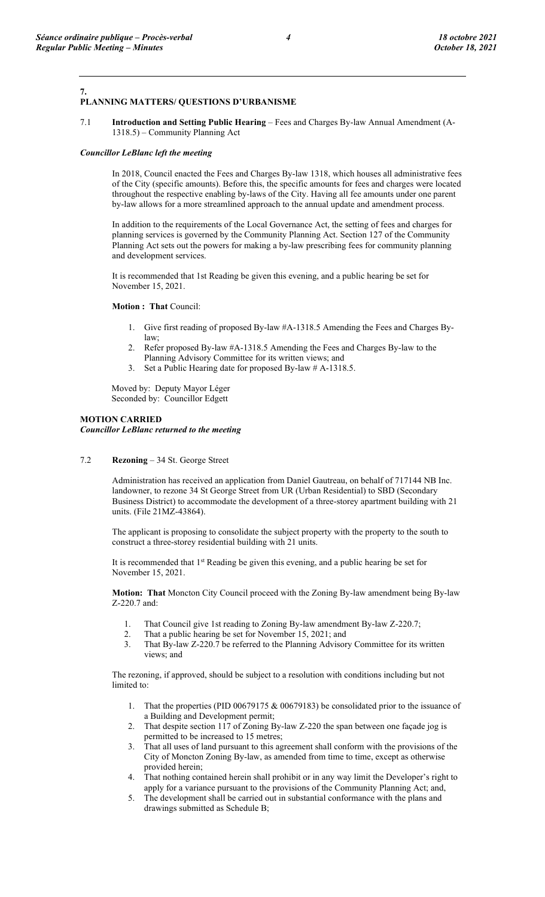#### **7. PLANNING MATTERS/ QUESTIONS D'URBANISME**

7.1 **Introduction and Setting Public Hearing** – Fees and Charges By-law Annual Amendment (A-1318.5) – Community Planning Act

#### *Councillor LeBlanc left the meeting*

In 2018, Council enacted the Fees and Charges By-law 1318, which houses all administrative fees of the City (specific amounts). Before this, the specific amounts for fees and charges were located throughout the respective enabling by-laws of the City. Having all fee amounts under one parent by-law allows for a more streamlined approach to the annual update and amendment process.

In addition to the requirements of the Local Governance Act, the setting of fees and charges for planning services is governed by the Community Planning Act. Section 127 of the Community Planning Act sets out the powers for making a by-law prescribing fees for community planning and development services.

It is recommended that 1st Reading be given this evening, and a public hearing be set for November 15, 2021.

**Motion : That** Council:

- 1. Give first reading of proposed By-law #A-1318.5 Amending the Fees and Charges Bylaw;
- 2. Refer proposed By-law #A-1318.5 Amending the Fees and Charges By-law to the Planning Advisory Committee for its written views; and
- 3. Set a Public Hearing date for proposed By-law # A-1318.5.

Moved by: Deputy Mayor Léger Seconded by: Councillor Edgett

# **MOTION CARRIED**

*Councillor LeBlanc returned to the meeting*

7.2 **Rezoning** – 34 St. George Street

Administration has received an application from Daniel Gautreau, on behalf of 717144 NB Inc. landowner, to rezone 34 St George Street from UR (Urban Residential) to SBD (Secondary Business District) to accommodate the development of a three-storey apartment building with 21 units. (File 21MZ-43864).

The applicant is proposing to consolidate the subject property with the property to the south to construct a three-storey residential building with 21 units.

It is recommended that 1<sup>st</sup> Reading be given this evening, and a public hearing be set for November 15, 2021.

**Motion: That** Moncton City Council proceed with the Zoning By-law amendment being By-law Z-220.7 and:

- 1. That Council give 1st reading to Zoning By-law amendment By-law Z-220.7;
- 2. That a public hearing be set for November 15, 2021; and
- 3. That By-law Z-220.7 be referred to the Planning Advisory Committee for its written views; and

The rezoning, if approved, should be subject to a resolution with conditions including but not limited to:

- 1. That the properties (PID 00679175 & 00679183) be consolidated prior to the issuance of a Building and Development permit;
- 2. That despite section 117 of Zoning By-law Z-220 the span between one façade jog is permitted to be increased to 15 metres;
- 3. That all uses of land pursuant to this agreement shall conform with the provisions of the City of Moncton Zoning By-law, as amended from time to time, except as otherwise provided herein;
- 4. That nothing contained herein shall prohibit or in any way limit the Developer's right to apply for a variance pursuant to the provisions of the Community Planning Act; and,
- 5. The development shall be carried out in substantial conformance with the plans and drawings submitted as Schedule B;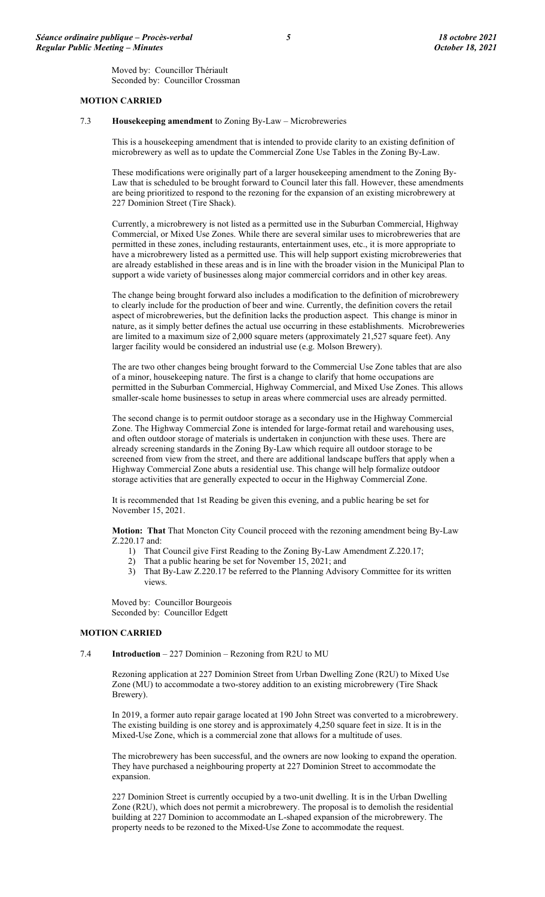Moved by: Councillor Thériault Seconded by: Councillor Crossman

#### **MOTION CARRIED**

## 7.3 **Housekeeping amendment** to Zoning By-Law – Microbreweries

This is a housekeeping amendment that is intended to provide clarity to an existing definition of microbrewery as well as to update the Commercial Zone Use Tables in the Zoning By-Law.

These modifications were originally part of a larger housekeeping amendment to the Zoning By-Law that is scheduled to be brought forward to Council later this fall. However, these amendments are being prioritized to respond to the rezoning for the expansion of an existing microbrewery at 227 Dominion Street (Tire Shack).

Currently, a microbrewery is not listed as a permitted use in the Suburban Commercial, Highway Commercial, or Mixed Use Zones. While there are several similar uses to microbreweries that are permitted in these zones, including restaurants, entertainment uses, etc., it is more appropriate to have a microbrewery listed as a permitted use. This will help support existing microbreweries that are already established in these areas and is in line with the broader vision in the Municipal Plan to support a wide variety of businesses along major commercial corridors and in other key areas.

The change being brought forward also includes a modification to the definition of microbrewery to clearly include for the production of beer and wine. Currently, the definition covers the retail aspect of microbreweries, but the definition lacks the production aspect. This change is minor in nature, as it simply better defines the actual use occurring in these establishments. Microbreweries are limited to a maximum size of 2,000 square meters (approximately 21,527 square feet). Any larger facility would be considered an industrial use (e.g. Molson Brewery).

The are two other changes being brought forward to the Commercial Use Zone tables that are also of a minor, housekeeping nature. The first is a change to clarify that home occupations are permitted in the Suburban Commercial, Highway Commercial, and Mixed Use Zones. This allows smaller-scale home businesses to setup in areas where commercial uses are already permitted.

The second change is to permit outdoor storage as a secondary use in the Highway Commercial Zone. The Highway Commercial Zone is intended for large-format retail and warehousing uses, and often outdoor storage of materials is undertaken in conjunction with these uses. There are already screening standards in the Zoning By-Law which require all outdoor storage to be screened from view from the street, and there are additional landscape buffers that apply when a Highway Commercial Zone abuts a residential use. This change will help formalize outdoor storage activities that are generally expected to occur in the Highway Commercial Zone.

It is recommended that 1st Reading be given this evening, and a public hearing be set for November 15, 2021.

**Motion: That** That Moncton City Council proceed with the rezoning amendment being By-Law Z.220.17 and:

- 1) That Council give First Reading to the Zoning By-Law Amendment Z.220.17;
- 2) That a public hearing be set for November 15, 2021; and
- 3) That By-Law Z.220.17 be referred to the Planning Advisory Committee for its written views.

Moved by: Councillor Bourgeois Seconded by: Councillor Edgett

#### **MOTION CARRIED**

7.4 **Introduction** – 227 Dominion – Rezoning from R2U to MU

Rezoning application at 227 Dominion Street from Urban Dwelling Zone (R2U) to Mixed Use Zone (MU) to accommodate a two-storey addition to an existing microbrewery (Tire Shack Brewery).

In 2019, a former auto repair garage located at 190 John Street was converted to a microbrewery. The existing building is one storey and is approximately 4,250 square feet in size. It is in the Mixed-Use Zone, which is a commercial zone that allows for a multitude of uses.

The microbrewery has been successful, and the owners are now looking to expand the operation. They have purchased a neighbouring property at 227 Dominion Street to accommodate the expansion.

227 Dominion Street is currently occupied by a two-unit dwelling. It is in the Urban Dwelling Zone (R2U), which does not permit a microbrewery. The proposal is to demolish the residential building at 227 Dominion to accommodate an L-shaped expansion of the microbrewery. The property needs to be rezoned to the Mixed-Use Zone to accommodate the request.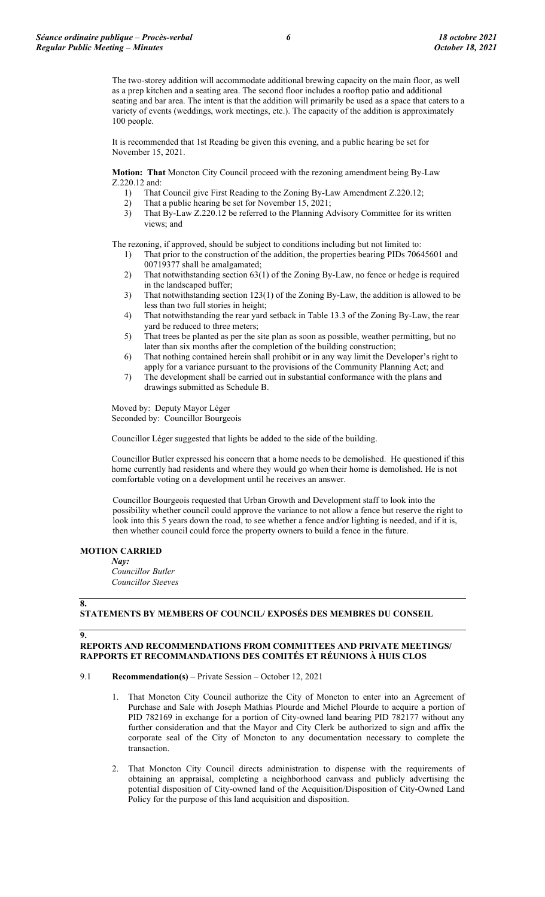The two-storey addition will accommodate additional brewing capacity on the main floor, as well as a prep kitchen and a seating area. The second floor includes a rooftop patio and additional seating and bar area. The intent is that the addition will primarily be used as a space that caters to a variety of events (weddings, work meetings, etc.). The capacity of the addition is approximately 100 people.

It is recommended that 1st Reading be given this evening, and a public hearing be set for November 15, 2021.

**Motion: That** Moncton City Council proceed with the rezoning amendment being By-Law Z.220.12 and:

- 1) That Council give First Reading to the Zoning By-Law Amendment Z.220.12;
- 2) That a public hearing be set for November 15, 2021;<br>3) That By-Law Z.220.12 be referred to the Planning A
- That By-Law Z.220.12 be referred to the Planning Advisory Committee for its written views; and

The rezoning, if approved, should be subject to conditions including but not limited to:

- 1) That prior to the construction of the addition, the properties bearing PIDs 70645601 and 00719377 shall be amalgamated;
- 2) That notwithstanding section 63(1) of the Zoning By-Law, no fence or hedge is required in the landscaped buffer;
- 3) That notwithstanding section 123(1) of the Zoning By-Law, the addition is allowed to be less than two full stories in height;
- 4) That notwithstanding the rear yard setback in Table 13.3 of the Zoning By-Law, the rear yard be reduced to three meters;
- 5) That trees be planted as per the site plan as soon as possible, weather permitting, but no later than six months after the completion of the building construction;
- 6) That nothing contained herein shall prohibit or in any way limit the Developer's right to apply for a variance pursuant to the provisions of the Community Planning Act; and
- 7) The development shall be carried out in substantial conformance with the plans and drawings submitted as Schedule B.

Moved by: Deputy Mayor Léger Seconded by: Councillor Bourgeois

Councillor Léger suggested that lights be added to the side of the building.

Councillor Butler expressed his concern that a home needs to be demolished. He questioned if this home currently had residents and where they would go when their home is demolished. He is not comfortable voting on a development until he receives an answer.

Councillor Bourgeois requested that Urban Growth and Development staff to look into the possibility whether council could approve the variance to not allow a fence but reserve the right to look into this 5 years down the road, to see whether a fence and/or lighting is needed, and if it is, then whether council could force the property owners to build a fence in the future.

#### **MOTION CARRIED**

*Nay:*

*Councillor Butler Councillor Steeves*

#### **8.**

# **STATEMENTS BY MEMBERS OF COUNCIL/ EXPOSÉS DES MEMBRES DU CONSEIL**

**9.**

## **REPORTS AND RECOMMENDATIONS FROM COMMITTEES AND PRIVATE MEETINGS/ RAPPORTS ET RECOMMANDATIONS DES COMITÉS ET RÉUNIONS À HUIS CLOS**

## 9.1 **Recommendation(s)** – Private Session – October 12, 2021

- 1. That Moncton City Council authorize the City of Moncton to enter into an Agreement of Purchase and Sale with Joseph Mathias Plourde and Michel Plourde to acquire a portion of PID 782169 in exchange for a portion of City-owned land bearing PID 782177 without any further consideration and that the Mayor and City Clerk be authorized to sign and affix the corporate seal of the City of Moncton to any documentation necessary to complete the transaction.
- 2. That Moncton City Council directs administration to dispense with the requirements of obtaining an appraisal, completing a neighborhood canvass and publicly advertising the potential disposition of City-owned land of the Acquisition/Disposition of City-Owned Land Policy for the purpose of this land acquisition and disposition.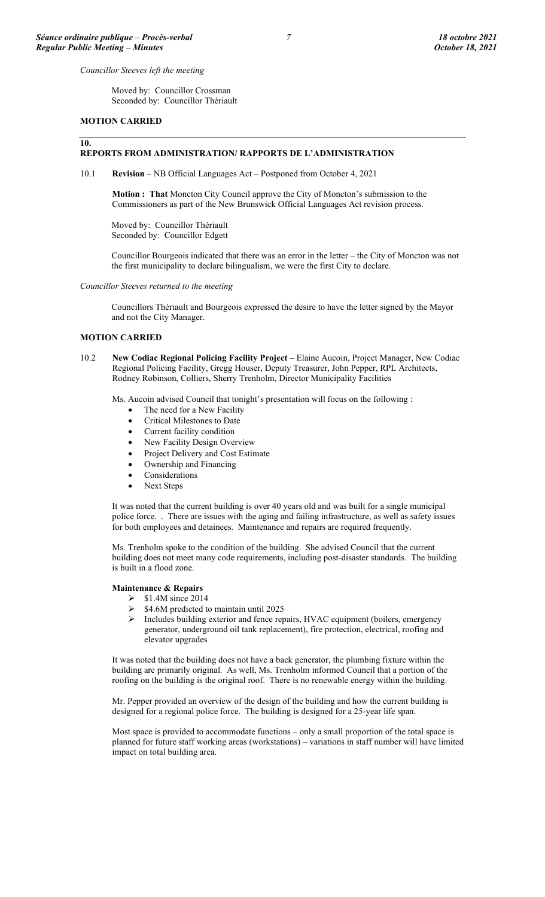*Councillor Steeves left the meeting*

Moved by: Councillor Crossman Seconded by: Councillor Thériault

#### **MOTION CARRIED**

#### **10.**

# **REPORTS FROM ADMINISTRATION/ RAPPORTS DE L'ADMINISTRATION**

10.1 **Revision** – NB Official Languages Act – Postponed from October 4, 2021

**Motion : That** Moncton City Council approve the City of Moncton's submission to the Commissioners as part of the New Brunswick Official Languages Act revision process.

Moved by: Councillor Thériault Seconded by: Councillor Edgett

Councillor Bourgeois indicated that there was an error in the letter – the City of Moncton was not the first municipality to declare bilingualism, we were the first City to declare.

*Councillor Steeves returned to the meeting*

Councillors Thériault and Bourgeois expressed the desire to have the letter signed by the Mayor and not the City Manager.

#### **MOTION CARRIED**

10.2 **New Codiac Regional Policing Facility Project** – Elaine Aucoin, Project Manager, New Codiac Regional Policing Facility, Gregg Houser, Deputy Treasurer, John Pepper, RPL Architects, Rodney Robinson, Colliers, Sherry Trenholm, Director Municipality Facilities

Ms. Aucoin advised Council that tonight's presentation will focus on the following :

- The need for a New Facility
- Critical Milestones to Date
- Current facility condition
- New Facility Design Overview
- Project Delivery and Cost Estimate
- Ownership and Financing
- **Considerations**
- Next Steps

It was noted that the current building is over 40 years old and was built for a single municipal police force. . There are issues with the aging and failing infrastructure, as well as safety issues for both employees and detainees. Maintenance and repairs are required frequently.

Ms. Trenholm spoke to the condition of the building. She advised Council that the current building does not meet many code requirements, including post-disaster standards. The building is built in a flood zone.

#### **Maintenance & Repairs**

- $\geq$  \$1.4M since 2014
- $\triangleright$  \$4.6M predicted to maintain until 2025
- Includes building exterior and fence repairs, HVAC equipment (boilers, emergency generator, underground oil tank replacement), fire protection, electrical, roofing and elevator upgrades

It was noted that the building does not have a back generator, the plumbing fixture within the building are primarily original. As well, Ms. Trenholm informed Council that a portion of the roofing on the building is the original roof. There is no renewable energy within the building.

Mr. Pepper provided an overview of the design of the building and how the current building is designed for a regional police force. The building is designed for a 25-year life span.

Most space is provided to accommodate functions – only a small proportion of the total space is planned for future staff working areas (workstations) – variations in staff number will have limited impact on total building area.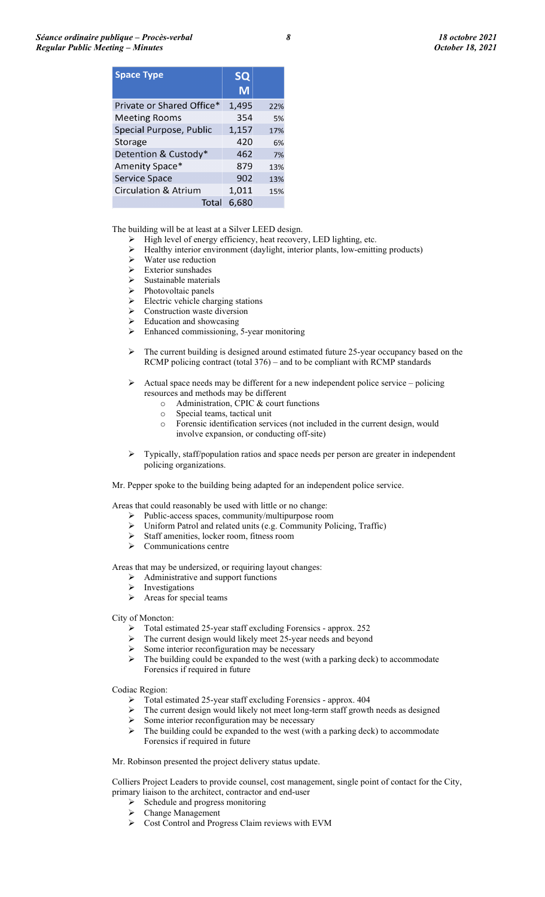| <b>Space Type</b>         | <b>SQ</b><br>M |     |
|---------------------------|----------------|-----|
| Private or Shared Office* | 1,495          | 22% |
| <b>Meeting Rooms</b>      | 354            | 5%  |
| Special Purpose, Public   | 1,157          | 17% |
| <b>Storage</b>            | 420            | 6%  |
| Detention & Custody*      | 462            | 7%  |
| Amenity Space*            | 879            | 13% |
| <b>Service Space</b>      | 902            | 13% |
| Circulation & Atrium      | 1,011          | 15% |
| Total                     | 6,680          |     |

The building will be at least at a Silver LEED design.

- $\triangleright$  High level of energy efficiency, heat recovery, LED lighting, etc.
- Healthy interior environment (daylight, interior plants, low-emitting products)
- $\triangleright$  Water use reduction
- $\triangleright$  Exterior sunshades
- $\triangleright$  Sustainable materials
- $\triangleright$  Photovoltaic panels
- $\triangleright$  Electric vehicle charging stations
- Construction waste diversion
- Education and showcasing<br>  $\triangleright$  Enhanced commissioning
- Enhanced commissioning, 5-year monitoring
- $\triangleright$  The current building is designed around estimated future 25-year occupancy based on the RCMP policing contract (total 376) – and to be compliant with RCMP standards
- $\triangleright$  Actual space needs may be different for a new independent police service policing resources and methods may be different
	- o Administration, CPIC & court functions
	- o Special teams, tactical unit
	- Forensic identification services (not included in the current design, would involve expansion, or conducting off-site)
- $\triangleright$  Typically, staff/population ratios and space needs per person are greater in independent policing organizations.

Mr. Pepper spoke to the building being adapted for an independent police service.

Areas that could reasonably be used with little or no change:<br>
> Public-access spaces, community/multipurpose roor

- $\triangleright$  Public-access spaces, community/multipurpose room<br> $\triangleright$  Uniform Patrol and related units (e.g. Community Pol
- Uniform Patrol and related units (e.g. Community Policing, Traffic)
- $\triangleright$  Staff amenities, locker room, fitness room
- $\triangleright$  Communications centre

Areas that may be undersized, or requiring layout changes:

- $\triangleright$  Administrative and support functions
- > Investigations
- $\triangleright$  Areas for special teams
- City of Moncton:
	- $\triangleright$  Total estimated 25-year staff excluding Forensics approx. 252<br>  $\triangleright$  The current design would likely meet 25-year needs and beyond
	- The current design would likely meet 25-year needs and beyond
	- Some interior reconfiguration may be necessary
	- $\triangleright$  The building could be expanded to the west (with a parking deck) to accommodate Forensics if required in future

Codiac Region:

- Total estimated 25-year staff excluding Forensics approx. 404
- $\triangleright$  The current design would likely not meet long-term staff growth needs as designed
- Some interior reconfiguration may be necessary<br>  $\triangleright$  The building could be expanded to the west (with
- The building could be expanded to the west (with a parking deck) to accommodate Forensics if required in future

Mr. Robinson presented the project delivery status update.

Colliers Project Leaders to provide counsel, cost management, single point of contact for the City, primary liaison to the architect, contractor and end-user

- $\triangleright$  Schedule and progress monitoring
- Change Management
- Cost Control and Progress Claim reviews with EVM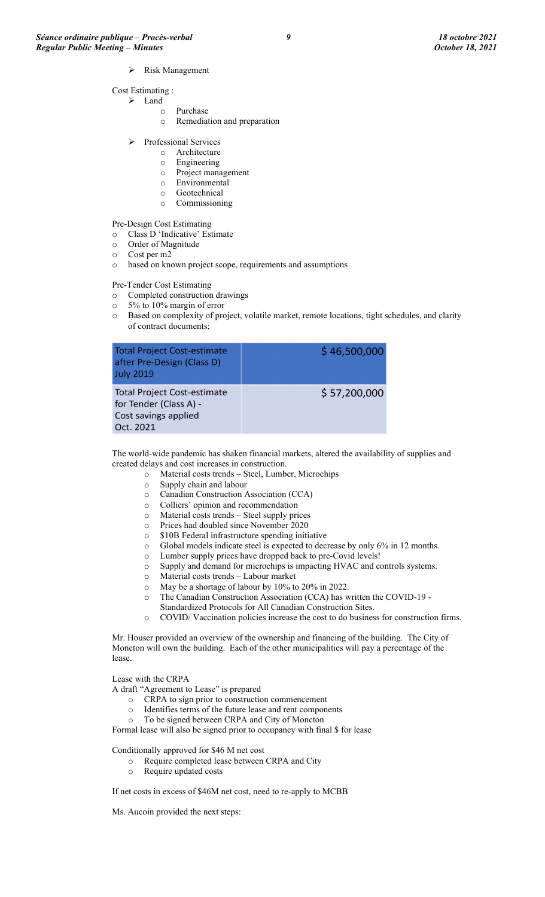- Risk Management
- Cost Estimating :
	- > Land
		- o Purchase
		- o Remediation and preparation
	- Professional Services
		- o Architecture
		- o Engineering
		- o Project management
		- o Environmental
		- o Geotechnical
		- o Commissioning

Pre-Design Cost Estimating

- o Class D 'Indicative' Estimate
- Order of Magnitude
- o Cost per m2
- o based on known project scope, requirements and assumptions

Pre-Tender Cost Estimating

- o Completed construction drawings
- o 5% to 10% margin of error
- o Based on complexity of project, volatile market, remote locations, tight schedules, and clarity of contract documents;

| <b>Total Project Cost-estimate</b><br>after Pre-Design (Class D)<br><b>July 2019</b>              | \$46,500,000 |
|---------------------------------------------------------------------------------------------------|--------------|
| <b>Total Project Cost-estimate</b><br>for Tender (Class A) -<br>Cost savings applied<br>Oct. 2021 | \$57,200,000 |

The world-wide pandemic has shaken financial markets, altered the availability of supplies and created delays and cost increases in construction.

- o Material costs trends Steel, Lumber, Microchips
- $\circ$  Supply chain and labour  $\circ$  Canadian Construction A
- Canadian Construction Association (CCA)
- o Colliers' opinion and recommendation
- o Material costs trends Steel supply prices
- Prices had doubled since November 2020
- o \$10B Federal infrastructure spending initiative
- $\circ$  Global models indicate steel is expected to decrease by only 6% in 12 months.<br>  $\circ$  Lumber supply prices have dropped back to pre-Covid levels!
- Lumber supply prices have dropped back to pre-Covid levels!
- o Supply and demand for microchips is impacting HVAC and controls systems.
- Material costs trends Labour market
- o May be a shortage of labour by 10% to 20% in 2022.
- o The Canadian Construction Association (CCA) has written the COVID-19 Standardized Protocols for All Canadian Construction Sites.
- o COVID/ Vaccination policies increase the cost to do business for construction firms.

Mr. Houser provided an overview of the ownership and financing of the building. The City of Moncton will own the building. Each of the other municipalities will pay a percentage of the lease.

Lease with the CRPA

- A draft "Agreement to Lease" is prepared
	- o CRPA to sign prior to construction commencement
	- o Identifies terms of the future lease and rent components
	- o To be signed between CRPA and City of Moncton

Formal lease will also be signed prior to occupancy with final \$ for lease

Conditionally approved for \$46 M net cost

- o Require completed lease between CRPA and City<br>
o Require updated costs
- Require updated costs

If net costs in excess of \$46M net cost, need to re-apply to MCBB

Ms. Aucoin provided the next steps: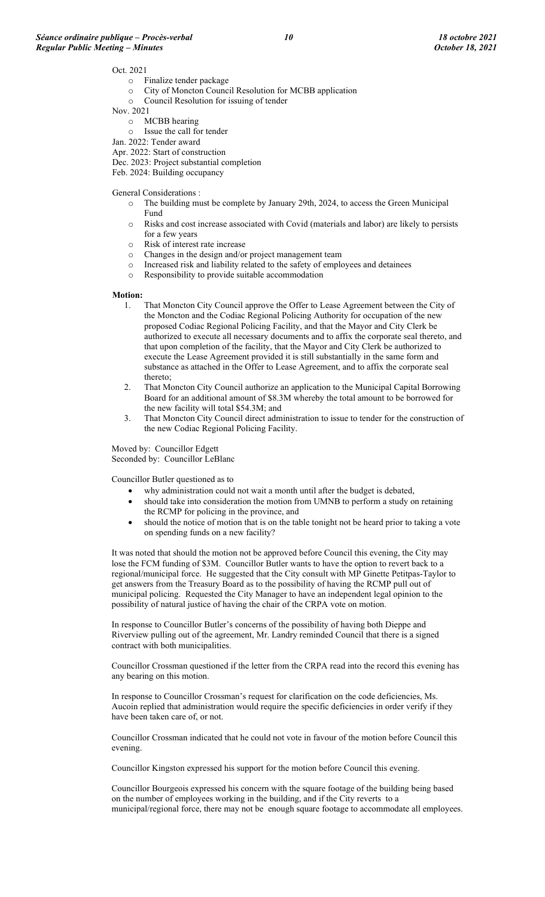#### Oct. 2021

- o Finalize tender package
- o City of Moncton Council Resolution for MCBB application
- Council Resolution for issuing of tender
- Nov. 2021
	- o MCBB hearing
	- o Issue the call for tender
- Jan. 2022: Tender award Apr. 2022: Start of construction
- Dec. 2023: Project substantial completion
- Feb. 2024: Building occupancy

General Considerations :

- o The building must be complete by January 29th, 2024, to access the Green Municipal Fund
- o Risks and cost increase associated with Covid (materials and labor) are likely to persists for a few years
- o Risk of interest rate increase
- o Changes in the design and/or project management team
- $\circ$  Increased risk and liability related to the safety of employees and detainees  $\circ$  Responsibility to provide suitable accommodation
- Responsibility to provide suitable accommodation

#### **Motion:**

- 1. That Moncton City Council approve the Offer to Lease Agreement between the City of the Moncton and the Codiac Regional Policing Authority for occupation of the new proposed Codiac Regional Policing Facility, and that the Mayor and City Clerk be authorized to execute all necessary documents and to affix the corporate seal thereto, and that upon completion of the facility, that the Mayor and City Clerk be authorized to execute the Lease Agreement provided it is still substantially in the same form and substance as attached in the Offer to Lease Agreement, and to affix the corporate seal thereto;
- 2. That Moncton City Council authorize an application to the Municipal Capital Borrowing Board for an additional amount of \$8.3M whereby the total amount to be borrowed for the new facility will total \$54.3M; and
- 3. That Moncton City Council direct administration to issue to tender for the construction of the new Codiac Regional Policing Facility.

Moved by: Councillor Edgett Seconded by: Councillor LeBlanc

Councillor Butler questioned as to

- why administration could not wait a month until after the budget is debated,
- should take into consideration the motion from UMNB to perform a study on retaining the RCMP for policing in the province, and
- should the notice of motion that is on the table tonight not be heard prior to taking a vote on spending funds on a new facility?

It was noted that should the motion not be approved before Council this evening, the City may lose the FCM funding of \$3M. Councillor Butler wants to have the option to revert back to a regional/municipal force. He suggested that the City consult with MP Ginette Petitpas-Taylor to get answers from the Treasury Board as to the possibility of having the RCMP pull out of municipal policing. Requested the City Manager to have an independent legal opinion to the possibility of natural justice of having the chair of the CRPA vote on motion.

In response to Councillor Butler's concerns of the possibility of having both Dieppe and Riverview pulling out of the agreement, Mr. Landry reminded Council that there is a signed contract with both municipalities.

Councillor Crossman questioned if the letter from the CRPA read into the record this evening has any bearing on this motion.

In response to Councillor Crossman's request for clarification on the code deficiencies, Ms. Aucoin replied that administration would require the specific deficiencies in order verify if they have been taken care of, or not.

Councillor Crossman indicated that he could not vote in favour of the motion before Council this evening.

Councillor Kingston expressed his support for the motion before Council this evening.

Councillor Bourgeois expressed his concern with the square footage of the building being based on the number of employees working in the building, and if the City reverts to a municipal/regional force, there may not be enough square footage to accommodate all employees.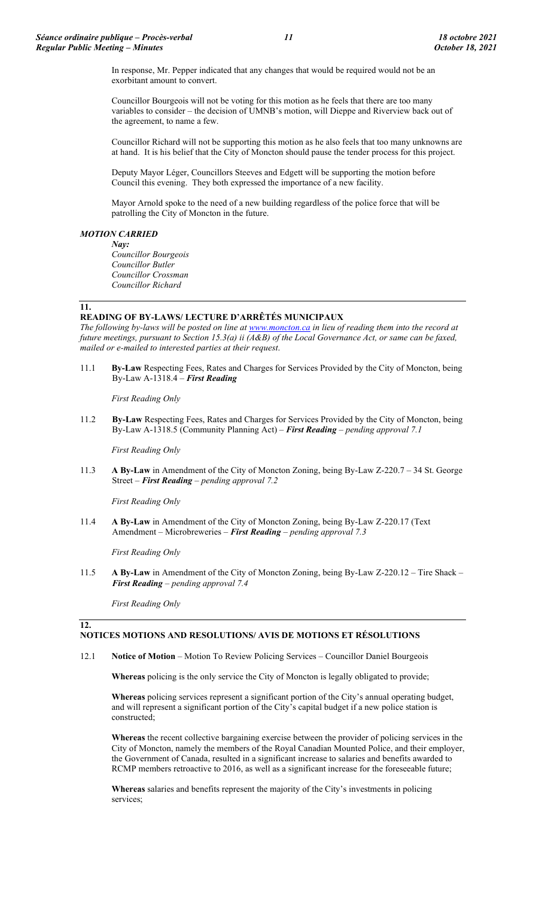In response, Mr. Pepper indicated that any changes that would be required would not be an exorbitant amount to convert.

Councillor Bourgeois will not be voting for this motion as he feels that there are too many variables to consider – the decision of UMNB's motion, will Dieppe and Riverview back out of the agreement, to name a few.

Councillor Richard will not be supporting this motion as he also feels that too many unknowns are at hand. It is his belief that the City of Moncton should pause the tender process for this project.

Deputy Mayor Léger, Councillors Steeves and Edgett will be supporting the motion before Council this evening. They both expressed the importance of a new facility.

Mayor Arnold spoke to the need of a new building regardless of the police force that will be patrolling the City of Moncton in the future.

## *MOTION CARRIED*

*Nay: Councillor Bourgeois Councillor Butler Councillor Crossman Councillor Richard*

#### **11.**

**12.**

#### **READING OF BY-LAWS/ LECTURE D'ARRÊTÉS MUNICIPAUX**

*The following by-laws will be posted on line a[t www.moncton.ca](http://www.moncton.ca/) in lieu of reading them into the record at future meetings, pursuant to Section 15.3(a) ii (A&B) of the Local Governance Act, or same can be faxed, mailed or e-mailed to interested parties at their request*.

11.1 **By-Law** Respecting Fees, Rates and Charges for Services Provided by the City of Moncton, being By-Law A-1318.4 – *First Reading*

*First Reading Only*

11.2 **By-Law** Respecting Fees, Rates and Charges for Services Provided by the City of Moncton, being By-Law A-1318.5 (Community Planning Act) – *First Reading – pending approval 7.1*

*First Reading Only*

11.3 **A By-Law** in Amendment of the City of Moncton Zoning, being By-Law Z-220.7 – 34 St. George Street – *First Reading – pending approval 7.2*

*First Reading Only*

11.4 **A By-Law** in Amendment of the City of Moncton Zoning, being By-Law Z-220.17 (Text Amendment – Microbreweries – *First Reading – pending approval 7.3*

*First Reading Only*

11.5 **A By-Law** in Amendment of the City of Moncton Zoning, being By-Law Z-220.12 – Tire Shack – *First Reading – pending approval 7.4*

*First Reading Only*

# **NOTICES MOTIONS AND RESOLUTIONS/ AVIS DE MOTIONS ET RÉSOLUTIONS**

12.1 **Notice of Motion** – Motion To Review Policing Services – Councillor Daniel Bourgeois

**Whereas** policing is the only service the City of Moncton is legally obligated to provide;

**Whereas** policing services represent a significant portion of the City's annual operating budget, and will represent a significant portion of the City's capital budget if a new police station is constructed;

**Whereas** the recent collective bargaining exercise between the provider of policing services in the City of Moncton, namely the members of the Royal Canadian Mounted Police, and their employer, the Government of Canada, resulted in a significant increase to salaries and benefits awarded to RCMP members retroactive to 2016, as well as a significant increase for the foreseeable future;

**Whereas** salaries and benefits represent the majority of the City's investments in policing services;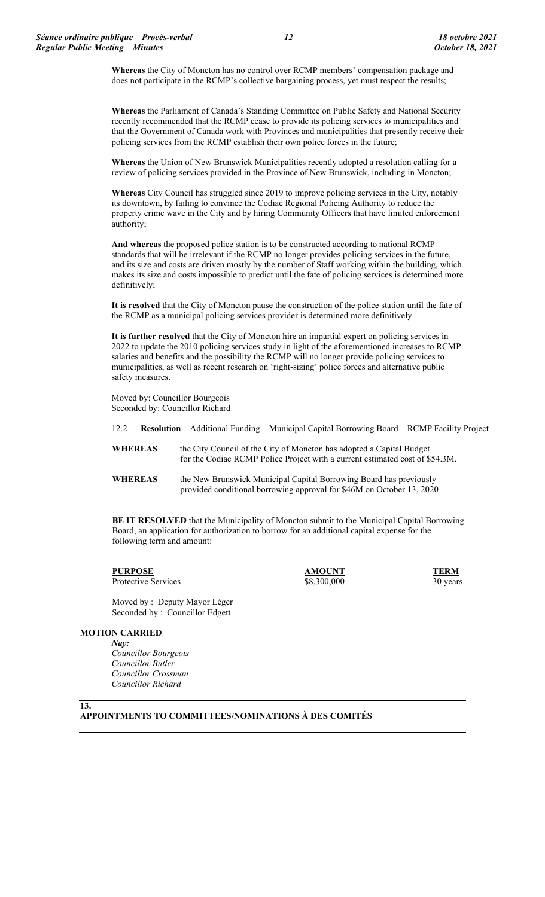**Whereas** the City of Moncton has no control over RCMP members' compensation package and does not participate in the RCMP's collective bargaining process, yet must respect the results;

**Whereas** the Parliament of Canada's Standing Committee on Public Safety and National Security recently recommended that the RCMP cease to provide its policing services to municipalities and that the Government of Canada work with Provinces and municipalities that presently receive their policing services from the RCMP establish their own police forces in the future;

**Whereas** the Union of New Brunswick Municipalities recently adopted a resolution calling for a review of policing services provided in the Province of New Brunswick, including in Moncton;

**Whereas** City Council has struggled since 2019 to improve policing services in the City, notably its downtown, by failing to convince the Codiac Regional Policing Authority to reduce the property crime wave in the City and by hiring Community Officers that have limited enforcement authority;

**And whereas** the proposed police station is to be constructed according to national RCMP standards that will be irrelevant if the RCMP no longer provides policing services in the future, and its size and costs are driven mostly by the number of Staff working within the building, which makes its size and costs impossible to predict until the fate of policing services is determined more definitively;

**It is resolved** that the City of Moncton pause the construction of the police station until the fate of the RCMP as a municipal policing services provider is determined more definitively.

**It is further resolved** that the City of Moncton hire an impartial expert on policing services in 2022 to update the 2010 policing services study in light of the aforementioned increases to RCMP salaries and benefits and the possibility the RCMP will no longer provide policing services to municipalities, as well as recent research on 'right-sizing' police forces and alternative public safety measures.

Moved by: Councillor Bourgeois Seconded by: Councillor Richard

12.2 **Resolution** – Additional Funding – Municipal Capital Borrowing Board – RCMP Facility Project

**WHEREAS** the City Council of the City of Moncton has adopted a Capital Budget for the Codiac RCMP Police Project with a current estimated cost of \$54.3M.

**WHEREAS** the New Brunswick Municipal Capital Borrowing Board has previously provided conditional borrowing approval for \$46M on October 13, 2020

**BE IT RESOLVED** that the Municipality of Moncton submit to the Municipal Capital Borrowing Board, an application for authorization to borrow for an additional capital expense for the following term and amount:

**PURPOSE**<br>**Protective Services AMOUNT**<br>**Protective Services AMOUNT**<br>**S8.300.000 30 vears** 

Protective Services \$8,300,000 \$8,300,000 30 years

Moved by : Deputy Mayor Léger Seconded by : Councillor Edgett

#### **MOTION CARRIED**

*Nay: Councillor Bourgeois Councillor Butler Councillor Crossman Councillor Richard*

**13.**

# **APPOINTMENTS TO COMMITTEES/NOMINATIONS À DES COMITÉS**